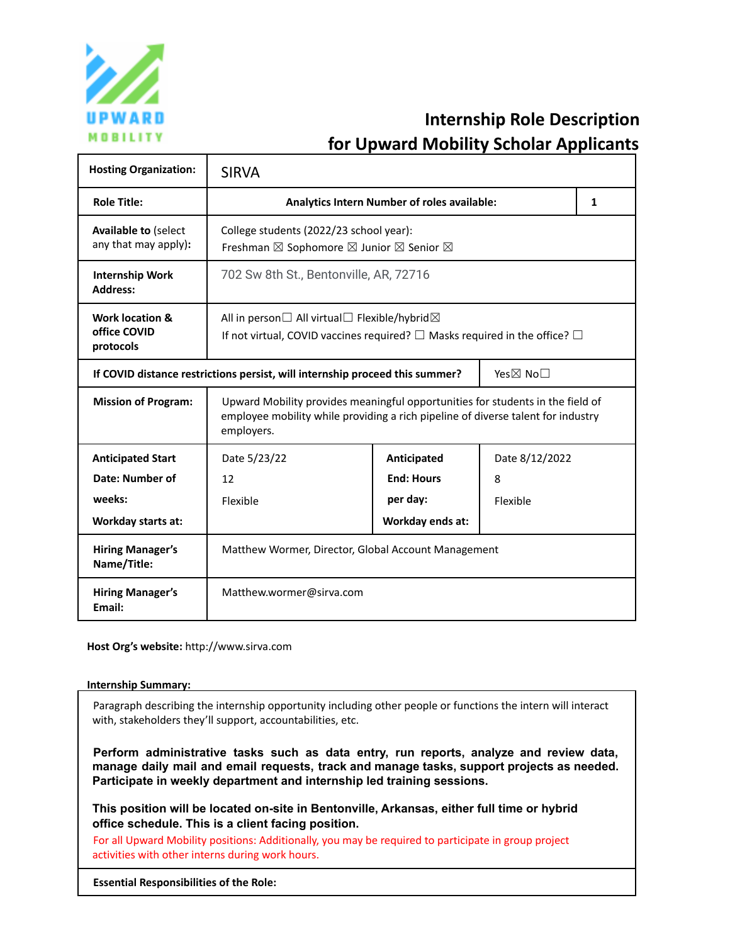

# **Internship Role Description for Upward Mobility Scholar Applicants**

| <b>Hosting Organization:</b>                                                             | <b>SIRVA</b>                                                                                                                                                                     |                   |                |              |
|------------------------------------------------------------------------------------------|----------------------------------------------------------------------------------------------------------------------------------------------------------------------------------|-------------------|----------------|--------------|
| <b>Role Title:</b>                                                                       | Analytics Intern Number of roles available:                                                                                                                                      |                   |                | $\mathbf{1}$ |
| <b>Available to (select</b><br>any that may apply):                                      | College students (2022/23 school year):<br>Freshman ⊠ Sophomore ⊠ Junior ⊠ Senior ⊠                                                                                              |                   |                |              |
| <b>Internship Work</b><br><b>Address:</b>                                                | 702 Sw 8th St., Bentonville, AR, 72716                                                                                                                                           |                   |                |              |
| <b>Work location &amp;</b><br>office COVID<br>protocols                                  | All in person $\Box$ All virtual $\Box$ Flexible/hybrid $\boxtimes$<br>If not virtual, COVID vaccines required? $\square$ Masks required in the office? $\square$                |                   |                |              |
| Yes⊠ No□<br>If COVID distance restrictions persist, will internship proceed this summer? |                                                                                                                                                                                  |                   |                |              |
| <b>Mission of Program:</b>                                                               | Upward Mobility provides meaningful opportunities for students in the field of<br>employee mobility while providing a rich pipeline of diverse talent for industry<br>employers. |                   |                |              |
| <b>Anticipated Start</b>                                                                 | Date 5/23/22                                                                                                                                                                     | Anticipated       | Date 8/12/2022 |              |
| Date: Number of                                                                          | 12                                                                                                                                                                               | <b>End: Hours</b> | 8              |              |
| weeks:                                                                                   | Flexible                                                                                                                                                                         | per day:          | Flexible       |              |
| Workday starts at:                                                                       |                                                                                                                                                                                  | Workday ends at:  |                |              |
| <b>Hiring Manager's</b><br>Name/Title:                                                   | Matthew Wormer, Director, Global Account Management                                                                                                                              |                   |                |              |
| <b>Hiring Manager's</b><br>Email:                                                        | Matthew.wormer@sirva.com                                                                                                                                                         |                   |                |              |

**Host Org's website:** http://www.sirva.com

#### **Internship Summary:**

Paragraph describing the internship opportunity including other people or functions the intern will interact with, stakeholders they'll support, accountabilities, etc.

**Perform administrative tasks such as data entry, run reports, analyze and review data, manage daily mail and email requests, track and manage tasks, support projects as needed. Participate in weekly department and internship led training sessions.**

**This position will be located on-site in Bentonville, Arkansas, either full time or hybrid office schedule. This is a client facing position.**

For all Upward Mobility positions: Additionally, you may be required to participate in group project activities with other interns during work hours.

**Essential Responsibilities of the Role:**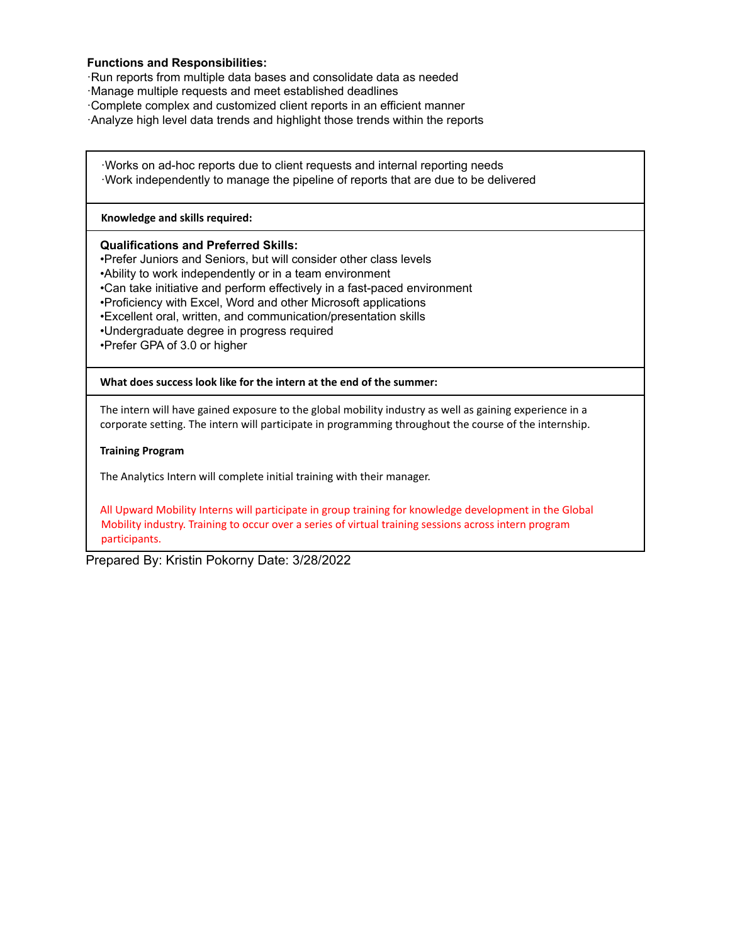### **Functions and Responsibilities:**

·Run reports from multiple data bases and consolidate data as needed

- ·Manage multiple requests and meet established deadlines
- ·Complete complex and customized client reports in an efficient manner
- ·Analyze high level data trends and highlight those trends within the reports

·Works on ad-hoc reports due to client requests and internal reporting needs ·Work independently to manage the pipeline of reports that are due to be delivered

#### **Knowledge and skills required:**

#### **Qualifications and Preferred Skills:**

•Prefer Juniors and Seniors, but will consider other class levels •Ability to work independently or in a team environment •Can take initiative and perform effectively in a fast-paced environment •Proficiency with Excel, Word and other Microsoft applications •Excellent oral, written, and communication/presentation skills •Undergraduate degree in progress required •Prefer GPA of 3.0 or higher

**What does success look like for the intern at the end of the summer:**

The intern will have gained exposure to the global mobility industry as well as gaining experience in a corporate setting. The intern will participate in programming throughout the course of the internship.

#### **Training Program**

The Analytics Intern will complete initial training with their manager.

All Upward Mobility Interns will participate in group training for knowledge development in the Global Mobility industry. Training to occur over a series of virtual training sessions across intern program participants.

Prepared By: Kristin Pokorny Date: 3/28/2022